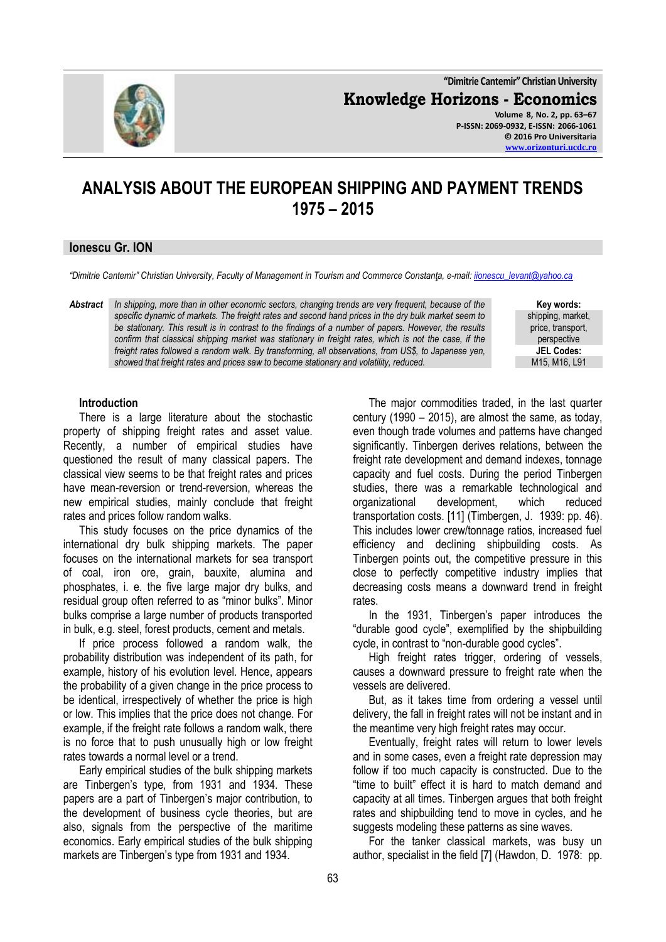**"Dimitrie Cantemir" Christian University Knowledge Horizons - Economics Volume 8, No. 2, pp. 63–67 P-ISSN: 2069-0932, E-ISSN: 2066-1061 © 2016 Pro Universitaria**

# **ANALYSIS ABOUT THE EUROPEAN SHIPPING AND PAYMENT TRENDS 1975 – 2015**

## **Ionescu Gr. ION**

*"Dimitrie Cantemir" Christian University, Faculty of Management in Tourism and Commerce Constanţa, e-mail: [iionescu\\_levant@yahoo.ca](mailto:iionescu_levant@yahoo.ca)*

*Abstract In shipping, more than in other economic sectors, changing trends are very frequent, because of the specific dynamic of markets. The freight rates and second hand prices in the dry bulk market seem to be stationary. This result is in contrast to the findings of a number of papers. However, the results confirm that classical shipping market was stationary in freight rates, which is not the case, if the freight rates followed a random walk. By transforming, all observations, from US\$, to Japanese yen, showed that freight rates and prices saw to become stationary and volatility, reduced.*

**Key words:** shipping, market, price, transport, perspective **JEL Codes:** M15, M16, L91

#### **Introduction**

There is a large literature about the stochastic property of shipping freight rates and asset value. Recently, a number of empirical studies have questioned the result of many classical papers. The classical view seems to be that freight rates and prices have mean-reversion or trend-reversion, whereas the new empirical studies, mainly conclude that freight rates and prices follow random walks.

This study focuses on the price dynamics of the international dry bulk shipping markets. The paper focuses on the international markets for sea transport of coal, iron ore, grain, bauxite, alumina and phosphates, i. e. the five large major dry bulks, and residual group often referred to as "minor bulks". Minor bulks comprise a large number of products transported in bulk, e.g. steel, forest products, cement and metals.

If price process followed a random walk, the probability distribution was independent of its path, for example, history of his evolution level. Hence, appears the probability of a given change in the price process to be identical, irrespectively of whether the price is high or low. This implies that the price does not change. For example, if the freight rate follows a random walk, there is no force that to push unusually high or low freight rates towards a normal level or a trend.

Early empirical studies of the bulk shipping markets are Tinbergen's type, from 1931 and 1934. These papers are a part of Tinbergen's major contribution, to the development of business cycle theories, but are also, signals from the perspective of the maritime economics. Early empirical studies of the bulk shipping markets are Tinbergen's type from 1931 and 1934.

The major commodities traded, in the last quarter century (1990 – 2015), are almost the same, as today, even though trade volumes and patterns have changed significantly. Tinbergen derives relations, between the freight rate development and demand indexes, tonnage capacity and fuel costs. During the period Tinbergen studies, there was a remarkable technological and organizational development, which reduced transportation costs. [11] (Timbergen, J. 1939: pp. 46). This includes lower crew/tonnage ratios, increased fuel efficiency and declining shipbuilding costs. As Tinbergen points out, the competitive pressure in this close to perfectly competitive industry implies that decreasing costs means a downward trend in freight rates.

In the 1931, Tinbergen's paper introduces the "durable good cycle", exemplified by the shipbuilding cycle, in contrast to "non-durable good cycles".

High freight rates trigger, ordering of vessels, causes a downward pressure to freight rate when the vessels are delivered.

But, as it takes time from ordering a vessel until delivery, the fall in freight rates will not be instant and in the meantime very high freight rates may occur.

Eventually, freight rates will return to lower levels and in some cases, even a freight rate depression may follow if too much capacity is constructed. Due to the "time to built" effect it is hard to match demand and capacity at all times. Tinbergen argues that both freight rates and shipbuilding tend to move in cycles, and he suggests modeling these patterns as sine waves.

For the tanker classical markets, was busy un author, specialist in the field [7] (Hawdon, D. 1978: pp.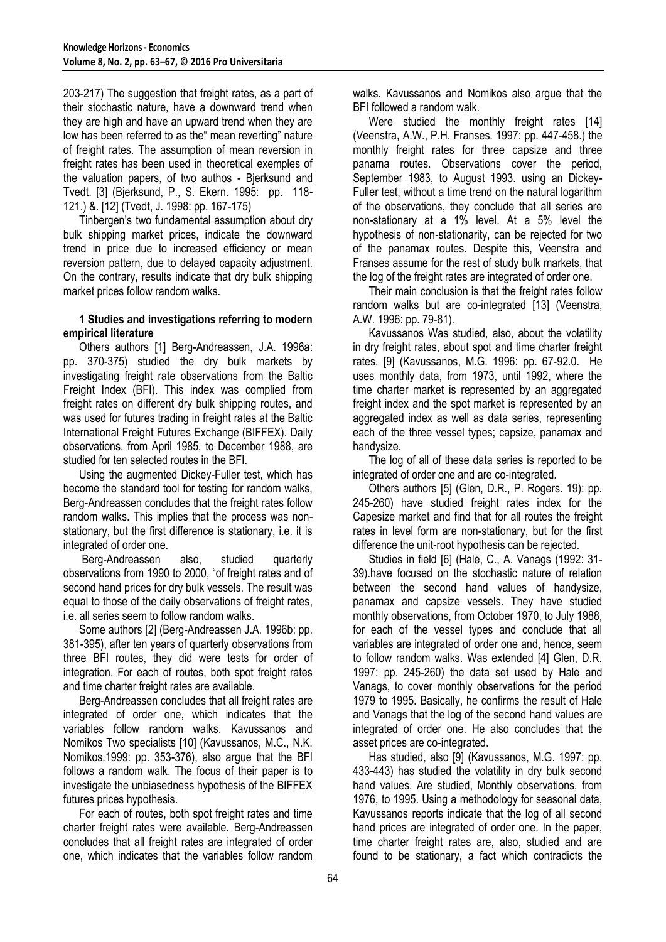203-217) The suggestion that freight rates, as a part of their stochastic nature, have a downward trend when they are high and have an upward trend when they are low has been referred to as the" mean reverting" nature of freight rates. The assumption of mean reversion in freight rates has been used in theoretical exemples of the valuation papers, of two authos - Bjerksund and Tvedt. [3] (Bjerksund, P., S. Ekern. 1995: pp. 118- 121.) &. [12] (Tvedt, J. 1998: pp. 167-175)

Tinbergen's two fundamental assumption about dry bulk shipping market prices, indicate the downward trend in price due to increased efficiency or mean reversion pattern, due to delayed capacity adjustment. On the contrary, results indicate that dry bulk shipping market prices follow random walks.

## **1 Studies and investigations referring to modern empirical literature**

Others authors [1] Berg-Andreassen, J.A. 1996a: pp. 370-375) studied the dry bulk markets by investigating freight rate observations from the Baltic Freight Index (BFI). This index was complied from freight rates on different dry bulk shipping routes, and was used for futures trading in freight rates at the Baltic International Freight Futures Exchange (BIFFEX). Daily observations. from April 1985, to December 1988, are studied for ten selected routes in the BFI.

Using the augmented Dickey-Fuller test, which has become the standard tool for testing for random walks, Berg-Andreassen concludes that the freight rates follow random walks. This implies that the process was nonstationary, but the first difference is stationary, i.e. it is integrated of order one.

Berg-Andreassen also, studied quarterly observations from 1990 to 2000, "of freight rates and of second hand prices for dry bulk vessels. The result was equal to those of the daily observations of freight rates, i.e. all series seem to follow random walks.

Some authors [2] (Berg-Andreassen J.A. 1996b: pp. 381-395), after ten years of quarterly observations from three BFI routes, they did were tests for order of integration. For each of routes, both spot freight rates and time charter freight rates are available.

Berg-Andreassen concludes that all freight rates are integrated of order one, which indicates that the variables follow random walks. Kavussanos and Nomikos Two specialists [10] (Kavussanos, M.C., N.K. Nomikos.1999: pp. 353-376), also argue that the BFI follows a random walk. The focus of their paper is to investigate the unbiasedness hypothesis of the BIFFEX futures prices hypothesis.

For each of routes, both spot freight rates and time charter freight rates were available. Berg-Andreassen concludes that all freight rates are integrated of order one, which indicates that the variables follow random

walks. Kavussanos and Nomikos also argue that the BFI followed a random walk.

Were studied the monthly freight rates [14] (Veenstra, A.W., P.H. Franses. 1997: pp. 447-458.) the monthly freight rates for three capsize and three panama routes. Observations cover the period, September 1983, to August 1993. using an Dickey-Fuller test, without a time trend on the natural logarithm of the observations, they conclude that all series are non-stationary at a 1% level. At a 5% level the hypothesis of non-stationarity, can be rejected for two of the panamax routes. Despite this, Veenstra and Franses assume for the rest of study bulk markets, that the log of the freight rates are integrated of order one.

Their main conclusion is that the freight rates follow random walks but are co-integrated [13] (Veenstra, A.W. 1996: pp. 79-81).

Kavussanos Was studied, also, about the volatility in dry freight rates, about spot and time charter freight rates. [9] (Kavussanos, M.G. 1996: pp. 67-92.0. He uses monthly data, from 1973, until 1992, where the time charter market is represented by an aggregated freight index and the spot market is represented by an aggregated index as well as data series, representing each of the three vessel types; capsize, panamax and handysize.

The log of all of these data series is reported to be integrated of order one and are co-integrated.

Others authors [5] (Glen, D.R., P. Rogers. 19): pp. 245-260) have studied freight rates index for the Capesize market and find that for all routes the freight rates in level form are non-stationary, but for the first difference the unit-root hypothesis can be rejected.

Studies in field [6] (Hale, C., A. Vanags (1992: 31- 39).have focused on the stochastic nature of relation between the second hand values of handysize, panamax and capsize vessels. They have studied monthly observations, from October 1970, to July 1988, for each of the vessel types and conclude that all variables are integrated of order one and, hence, seem to follow random walks. Was extended [4] Glen, D.R. 1997: pp. 245-260) the data set used by Hale and Vanags, to cover monthly observations for the period 1979 to 1995. Basically, he confirms the result of Hale and Vanags that the log of the second hand values are integrated of order one. He also concludes that the asset prices are co-integrated.

Has studied, also [9] (Kavussanos, M.G. 1997: pp. 433-443) has studied the volatility in dry bulk second hand values. Are studied, Monthly observations, from 1976, to 1995. Using a methodology for seasonal data, Kavussanos reports indicate that the log of all second hand prices are integrated of order one. In the paper, time charter freight rates are, also, studied and are found to be stationary, a fact which contradicts the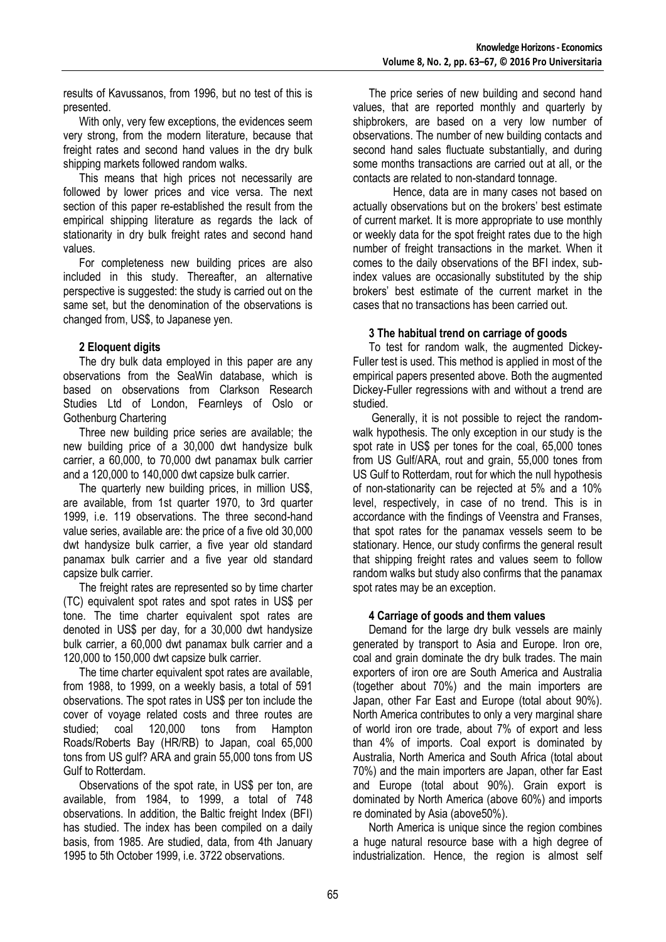results of Kavussanos, from 1996, but no test of this is presented.

With only, very few exceptions, the evidences seem very strong, from the modern literature, because that freight rates and second hand values in the dry bulk shipping markets followed random walks.

This means that high prices not necessarily are followed by lower prices and vice versa. The next section of this paper re-established the result from the empirical shipping literature as regards the lack of stationarity in dry bulk freight rates and second hand values.

For completeness new building prices are also included in this study. Thereafter, an alternative perspective is suggested: the study is carried out on the same set, but the denomination of the observations is changed from, US\$, to Japanese yen.

## **2 Eloquent digits**

The dry bulk data employed in this paper are any observations from the SeaWin database, which is based on observations from Clarkson Research Studies Ltd of London, Fearnleys of Oslo or Gothenburg Chartering

Three new building price series are available; the new building price of a 30,000 dwt handysize bulk carrier, a 60,000, to 70,000 dwt panamax bulk carrier and a 120,000 to 140,000 dwt capsize bulk carrier.

The quarterly new building prices, in million US\$, are available, from 1st quarter 1970, to 3rd quarter 1999, i.e. 119 observations. The three second-hand value series, available are: the price of a five old 30,000 dwt handysize bulk carrier, a five year old standard panamax bulk carrier and a five year old standard capsize bulk carrier.

The freight rates are represented so by time charter (TC) equivalent spot rates and spot rates in US\$ per tone. The time charter equivalent spot rates are denoted in US\$ per day, for a 30,000 dwt handysize bulk carrier, a 60,000 dwt panamax bulk carrier and a 120,000 to 150,000 dwt capsize bulk carrier.

The time charter equivalent spot rates are available, from 1988, to 1999, on a weekly basis, a total of 591 observations. The spot rates in US\$ per ton include the cover of voyage related costs and three routes are studied; coal 120,000 tons from Hampton Roads/Roberts Bay (HR/RB) to Japan, coal 65,000 tons from US gulf? ARA and grain 55,000 tons from US Gulf to Rotterdam.

Observations of the spot rate, in US\$ per ton, are available, from 1984, to 1999, a total of 748 observations. In addition, the Baltic freight Index (BFI) has studied. The index has been compiled on a daily basis, from 1985. Are studied, data, from 4th January 1995 to 5th October 1999, i.e. 3722 observations.

The price series of new building and second hand values, that are reported monthly and quarterly by shipbrokers, are based on a very low number of observations. The number of new building contacts and second hand sales fluctuate substantially, and during some months transactions are carried out at all, or the contacts are related to non-standard tonnage.

Hence, data are in many cases not based on actually observations but on the brokers' best estimate of current market. It is more appropriate to use monthly or weekly data for the spot freight rates due to the high number of freight transactions in the market. When it comes to the daily observations of the BFI index, subindex values are occasionally substituted by the ship brokers' best estimate of the current market in the cases that no transactions has been carried out.

## **3 The habitual trend on carriage of goods**

To test for random walk, the augmented Dickey-Fuller test is used. This method is applied in most of the empirical papers presented above. Both the augmented Dickey-Fuller regressions with and without a trend are studied.

Generally, it is not possible to reject the randomwalk hypothesis. The only exception in our study is the spot rate in US\$ per tones for the coal, 65,000 tones from US Gulf/ARA, rout and grain, 55,000 tones from US Gulf to Rotterdam, rout for which the null hypothesis of non-stationarity can be rejected at 5% and a 10% level, respectively, in case of no trend. This is in accordance with the findings of Veenstra and Franses, that spot rates for the panamax vessels seem to be stationary. Hence, our study confirms the general result that shipping freight rates and values seem to follow random walks but study also confirms that the panamax spot rates may be an exception.

#### **4 Carriage of goods and them values**

Demand for the large dry bulk vessels are mainly generated by transport to Asia and Europe. Iron ore, coal and grain dominate the dry bulk trades. The main exporters of iron ore are South America and Australia (together about 70%) and the main importers are Japan, other Far East and Europe (total about 90%). North America contributes to only a very marginal share of world iron ore trade, about 7% of export and less than 4% of imports. Coal export is dominated by Australia, North America and South Africa (total about 70%) and the main importers are Japan, other far East and Europe (total about 90%). Grain export is dominated by North America (above 60%) and imports re dominated by Asia (above50%).

North America is unique since the region combines a huge natural resource base with a high degree of industrialization. Hence, the region is almost self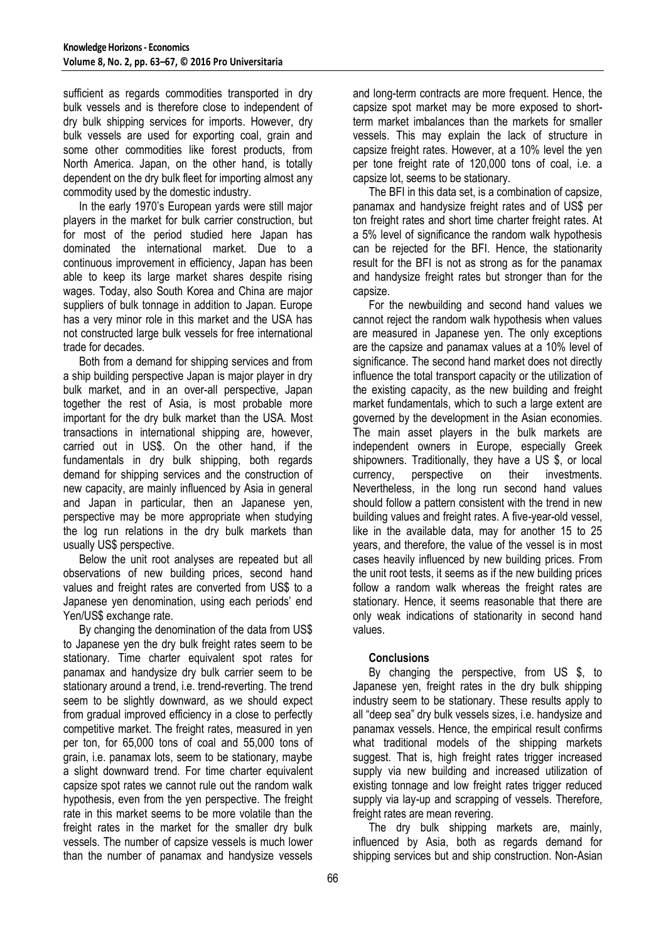sufficient as regards commodities transported in dry bulk vessels and is therefore close to independent of dry bulk shipping services for imports. However, dry bulk vessels are used for exporting coal, grain and some other commodities like forest products, from North America. Japan, on the other hand, is totally dependent on the dry bulk fleet for importing almost any commodity used by the domestic industry.

In the early 1970's European yards were still major players in the market for bulk carrier construction, but for most of the period studied here Japan has dominated the international market. Due to a continuous improvement in efficiency, Japan has been able to keep its large market shares despite rising wages. Today, also South Korea and China are major suppliers of bulk tonnage in addition to Japan. Europe has a very minor role in this market and the USA has not constructed large bulk vessels for free international trade for decades.

Both from a demand for shipping services and from a ship building perspective Japan is major player in dry bulk market, and in an over-all perspective, Japan together the rest of Asia, is most probable more important for the dry bulk market than the USA. Most transactions in international shipping are, however, carried out in US\$. On the other hand, if the fundamentals in dry bulk shipping, both regards demand for shipping services and the construction of new capacity, are mainly influenced by Asia in general and Japan in particular, then an Japanese yen, perspective may be more appropriate when studying the log run relations in the dry bulk markets than usually US\$ perspective.

Below the unit root analyses are repeated but all observations of new building prices, second hand values and freight rates are converted from US\$ to a Japanese yen denomination, using each periods' end Yen/US\$ exchange rate.

By changing the denomination of the data from US\$ to Japanese yen the dry bulk freight rates seem to be stationary. Time charter equivalent spot rates for panamax and handysize dry bulk carrier seem to be stationary around a trend, i.e. trend-reverting. The trend seem to be slightly downward, as we should expect from gradual improved efficiency in a close to perfectly competitive market. The freight rates, measured in yen per ton, for 65,000 tons of coal and 55,000 tons of grain, i.e. panamax lots, seem to be stationary, maybe a slight downward trend. For time charter equivalent capsize spot rates we cannot rule out the random walk hypothesis, even from the yen perspective. The freight rate in this market seems to be more volatile than the freight rates in the market for the smaller dry bulk vessels. The number of capsize vessels is much lower than the number of panamax and handysize vessels

and long-term contracts are more frequent. Hence, the capsize spot market may be more exposed to shortterm market imbalances than the markets for smaller vessels. This may explain the lack of structure in capsize freight rates. However, at a 10% level the yen per tone freight rate of 120,000 tons of coal, i.e. a capsize lot, seems to be stationary.

The BFI in this data set, is a combination of capsize, panamax and handysize freight rates and of US\$ per ton freight rates and short time charter freight rates. At a 5% level of significance the random walk hypothesis can be rejected for the BFI. Hence, the stationarity result for the BFI is not as strong as for the panamax and handysize freight rates but stronger than for the capsize.

For the newbuilding and second hand values we cannot reject the random walk hypothesis when values are measured in Japanese yen. The only exceptions are the capsize and panamax values at a 10% level of significance. The second hand market does not directly influence the total transport capacity or the utilization of the existing capacity, as the new building and freight market fundamentals, which to such a large extent are governed by the development in the Asian economies. The main asset players in the bulk markets are independent owners in Europe, especially Greek shipowners. Traditionally, they have a US \$, or local currency, perspective on their investments. Nevertheless, in the long run second hand values should follow a pattern consistent with the trend in new building values and freight rates. A five-year-old vessel, like in the available data, may for another 15 to 25 years, and therefore, the value of the vessel is in most cases heavily influenced by new building prices. From the unit root tests, it seems as if the new building prices follow a random walk whereas the freight rates are stationary. Hence, it seems reasonable that there are only weak indications of stationarity in second hand values.

# **Conclusions**

By changing the perspective, from US \$, to Japanese yen, freight rates in the dry bulk shipping industry seem to be stationary. These results apply to all "deep sea" dry bulk vessels sizes, i.e. handysize and panamax vessels. Hence, the empirical result confirms what traditional models of the shipping markets suggest. That is, high freight rates trigger increased supply via new building and increased utilization of existing tonnage and low freight rates trigger reduced supply via lay-up and scrapping of vessels. Therefore, freight rates are mean revering.

The dry bulk shipping markets are, mainly, influenced by Asia, both as regards demand for shipping services but and ship construction. Non-Asian